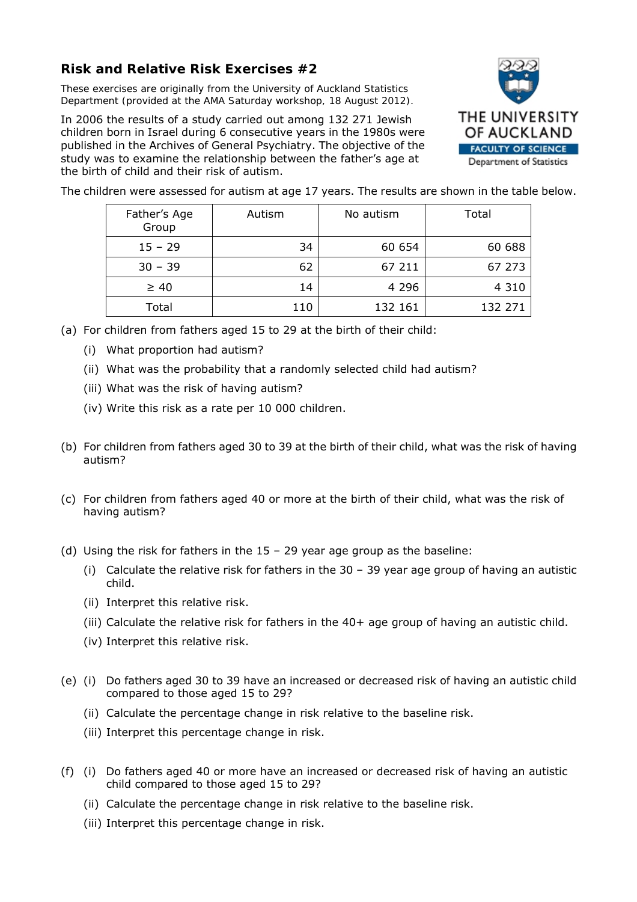## **Risk and Relative Risk Exercises #2**

*These exercises are originally from the University of Auckland Statistics Department (provided at the AMA Saturday workshop, 18 August 2012).* 

In 2006 the results of a study carried out among 132 271 Jewish children born in Israel during 6 consecutive years in the 1980s were published in the Archives of General Psychiatry. The objective of the study was to examine the relationship between the father's age at the birth of child and their risk of autism.



The children were assessed for autism at age 17 years. The results are shown in the table below.

| Father's Age<br>Group | Autism | No autism | Total   |
|-----------------------|--------|-----------|---------|
| $15 - 29$             | 34     | 60 654    | 60 688  |
| $30 - 39$             | 62     | 67 211    | 67 273  |
| $\geq 40$             | 14     | 4 2 9 6   | 4 3 1 0 |
| Total                 | 110    | 132 161   | 132 271 |

- (a) For children from fathers aged 15 to 29 at the birth of their child:
	- (i) What proportion had autism?
	- (ii) What was the probability that a randomly selected child had autism?
	- (iii) What was the risk of having autism?
	- (iv) Write this risk as a rate per 10 000 children.
- (b) For children from fathers aged 30 to 39 at the birth of their child, what was the risk of having autism?
- (c) For children from fathers aged 40 or more at the birth of their child, what was the risk of having autism?
- (d) Using the risk for fathers in the 15 29 year age group as the baseline:
	- (i) Calculate the relative risk for fathers in the 30 39 year age group of having an autistic child.
	- (ii) Interpret this relative risk.
	- (iii) Calculate the relative risk for fathers in the 40+ age group of having an autistic child.
	- (iv) Interpret this relative risk.
- (e) (i) Do fathers aged 30 to 39 have an increased or decreased risk of having an autistic child compared to those aged 15 to 29?
	- (ii) Calculate the percentage change in risk relative to the baseline risk.
	- (iii) Interpret this percentage change in risk.
- (f) (i) Do fathers aged 40 or more have an increased or decreased risk of having an autistic child compared to those aged 15 to 29?
	- (ii) Calculate the percentage change in risk relative to the baseline risk.
	- (iii) Interpret this percentage change in risk.